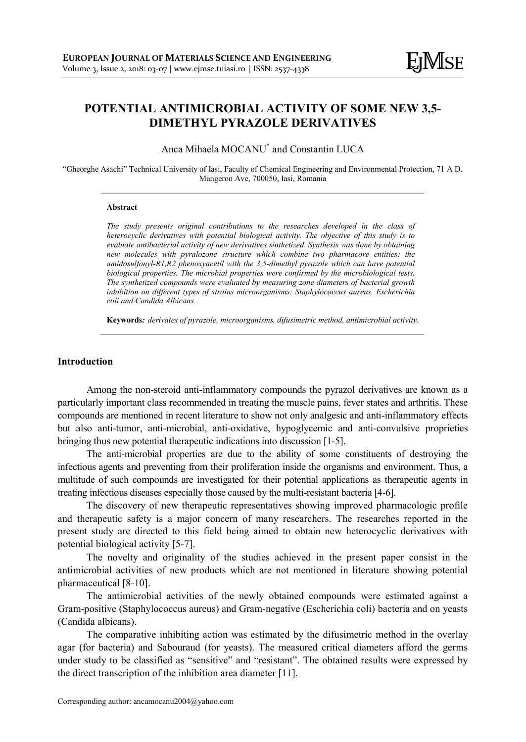# POTENTIAL ANTIMICROBIAL ACTIVITY OF SOME NEW 3,5- DIMETHYL PYRAZOLE DERIVATIVES

Anca Mihaela MOCANU\* and Constantin LUCA

"Gheorghe Asachi" Technical University of Iasi, Faculty of Chemical Engineering and Environmental Protection, 71 A D. Mangeron Ave, 700050, Iasi, Romania

#### Abstract

The study presents original contributions to the researches developed in the class of heterocyclic derivatives with potential biological activity. The objective of this study is to evaluate antibacterial activity of new derivatives sinthetized. Synthesis was done by obtaining new molecules with pyralozone structure which combine two pharmacore entities: the amidosulfonyl-R1,R2 phenoxyacetil with the 3,5-dimethyl pyrazole which can have potential biological properties. The microbial properties were confirmed by the microbiological tests. The synthetized compounds were evaluated by measuring zone diameters of bacterial growth inhibition on different types of strains microorganisms: Staphylococcus aureus, Escherichia coli and Candida Albicans.

Keywords: derivates of pyrazole, microorganisms, difusimetric method, antimicrobial activity.

# Introduction

Among the non-steroid anti-inflammatory compounds the pyrazol derivatives are known as a particularly important class recommended in treating the muscle pains, fever states and arthritis. These compounds are mentioned in recent literature to show not only analgesic and anti-inflammatory effects but also anti-tumor, anti-microbial, anti-oxidative, hypoglycemic and anti-convulsive proprieties bringing thus new potential therapeutic indications into discussion [1-5].

The anti-microbial properties are due to the ability of some constituents of destroying the infectious agents and preventing from their proliferation inside the organisms and environment. Thus, a multitude of such compounds are investigated for their potential applications as therapeutic agents in treating infectious diseases especially those caused by the multi-resistant bacteria [4-6].

The discovery of new therapeutic representatives showing improved pharmacologic profile and therapeutic safety is a major concern of many researchers. The researches reported in the present study are directed to this field being aimed to obtain new heterocyclic derivatives with potential biological activity [5-7].

The novelty and originality of the studies achieved in the present paper consist in the antimicrobial activities of new products which are not mentioned in literature showing potential pharmaceutical [8-10].

The antimicrobial activities of the newly obtained compounds were estimated against a Gram-positive (Staphylococcus aureus) and Gram-negative (Escherichia coli) bacteria and on yeasts (Candida albicans).

The comparative inhibiting action was estimated by the difusimetric method in the overlay agar (for bacteria) and Sabouraud (for yeasts). The measured critical diameters afford the germs under study to be classified as "sensitive" and "resistant". The obtained results were expressed by the direct transcription of the inhibition area diameter [11].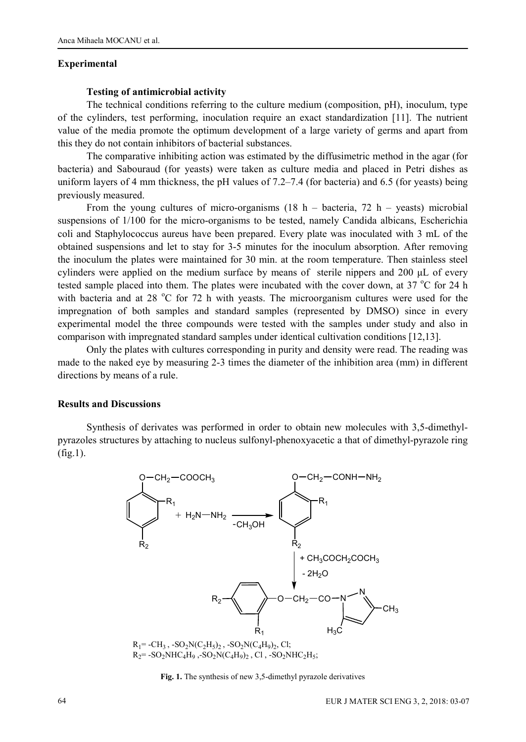#### Experimental

### Testing of antimicrobial activity

The technical conditions referring to the culture medium (composition, pH), inoculum, type of the cylinders, test performing, inoculation require an exact standardization [11]. The nutrient value of the media promote the optimum development of a large variety of germs and apart from this they do not contain inhibitors of bacterial substances.

The comparative inhibiting action was estimated by the diffusimetric method in the agar (for bacteria) and Sabouraud (for yeasts) were taken as culture media and placed in Petri dishes as uniform layers of 4 mm thickness, the pH values of 7.2–7.4 (for bacteria) and 6.5 (for yeasts) being previously measured.

From the young cultures of micro-organisms  $(18 h - bacteria, 72 h - yeasts)$  microbial suspensions of 1/100 for the micro-organisms to be tested, namely Candida albicans, Escherichia coli and Staphylococcus aureus have been prepared. Every plate was inoculated with 3 mL of the obtained suspensions and let to stay for 3-5 minutes for the inoculum absorption. After removing the inoculum the plates were maintained for 30 min. at the room temperature. Then stainless steel cylinders were applied on the medium surface by means of sterile nippers and 200 μL of every tested sample placed into them. The plates were incubated with the cover down, at 37  $\degree$ C for 24 h with bacteria and at 28  $^{\circ}$ C for 72 h with yeasts. The microorganism cultures were used for the impregnation of both samples and standard samples (represented by DMSO) since in every experimental model the three compounds were tested with the samples under study and also in comparison with impregnated standard samples under identical cultivation conditions [12,13].

Only the plates with cultures corresponding in purity and density were read. The reading was made to the naked eye by measuring 2-3 times the diameter of the inhibition area (mm) in different directions by means of a rule.

#### Results and Discussions

Synthesis of derivates was performed in order to obtain new molecules with 3,5-dimethylpyrazoles structures by attaching to nucleus sulfonyl-phenoxyacetic a that of dimethyl-pyrazole ring (fig.1).



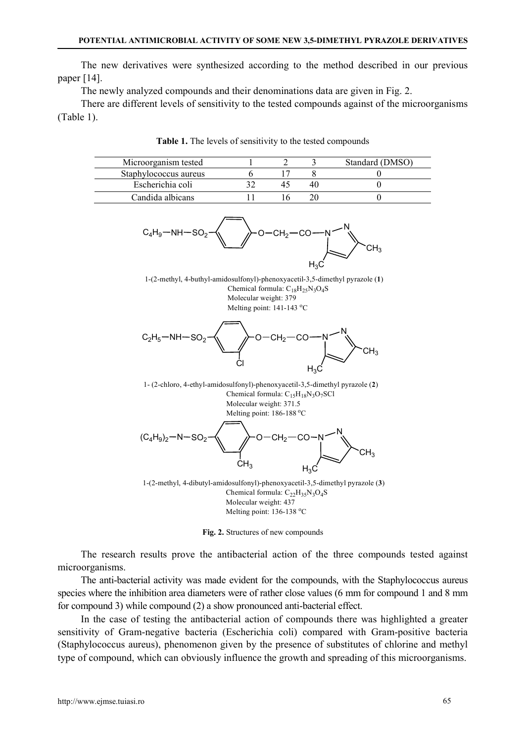The new derivatives were synthesized according to the method described in our previous paper [14].

The newly analyzed compounds and their denominations data are given in Fig. 2.

There are different levels of sensitivity to the tested compounds against of the microorganisms (Table 1).

| Microorganism tested  |  | Standard (DMSO) |
|-----------------------|--|-----------------|
| Staphylococcus aureus |  |                 |
| Escherichia coli      |  |                 |
| Candida albicans      |  |                 |

Table 1. The levels of sensitivity to the tested compounds



1-(2-methyl, 4-buthyl-amidosulfonyl)-phenoxyacetil-3,5-dimethyl pyrazole (1) Chemical formula:  $C_{18}H_{25}N_3O_4S$  Molecular weight: 379 Melting point: 141-143 °C



1- (2-chloro, 4-ethyl-amidosulfonyl)-phenoxyacetil-3,5-dimethyl pyrazole (2) Chemical formula:  $C_{15}H_{18}N_3O_7SC1$  Molecular weight: 371.5 Melting point: 186-188 °C



1-(2-methyl, 4-dibutyl-amidosulfonyl)-phenoxyacetil-3,5-dimethyl pyrazole (3) Chemical formula:  $C_{22}H_{35}N_3O_4S$  Molecular weight: 437 Melting point: 136-138 °C

Fig. 2. Structures of new compounds

The research results prove the antibacterial action of the three compounds tested against microorganisms.

The anti-bacterial activity was made evident for the compounds, with the Staphylococcus aureus species where the inhibition area diameters were of rather close values (6 mm for compound 1 and 8 mm for compound 3) while compound (2) a show pronounced anti-bacterial effect.

In the case of testing the antibacterial action of compounds there was highlighted a greater sensitivity of Gram-negative bacteria (Escherichia coli) compared with Gram-positive bacteria (Staphylococcus aureus), phenomenon given by the presence of substitutes of chlorine and methyl type of compound, which can obviously influence the growth and spreading of this microorganisms.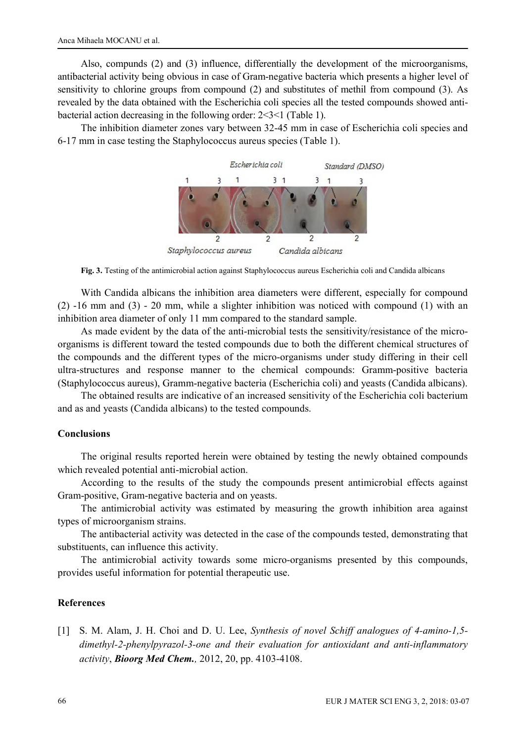Also, compunds (2) and (3) influence, differentially the development of the microorganisms, antibacterial activity being obvious in case of Gram-negative bacteria which presents a higher level of sensitivity to chlorine groups from compound (2) and substitutes of methil from compound (3). As revealed by the data obtained with the Escherichia coli species all the tested compounds showed antibacterial action decreasing in the following order: 2<3<1 (Table 1).

The inhibition diameter zones vary between 32-45 mm in case of Escherichia coli species and 6-17 mm in case testing the Staphylococcus aureus species (Table 1).



Fig. 3. Testing of the antimicrobial action against Staphylococcus aureus Escherichia coli and Candida albicans

With Candida albicans the inhibition area diameters were different, especially for compound (2) -16 mm and (3) - 20 mm, while a slighter inhibition was noticed with compound (1) with an inhibition area diameter of only 11 mm compared to the standard sample.

As made evident by the data of the anti-microbial tests the sensitivity/resistance of the microorganisms is different toward the tested compounds due to both the different chemical structures of the compounds and the different types of the micro-organisms under study differing in their cell ultra-structures and response manner to the chemical compounds: Gramm-positive bacteria (Staphylococcus aureus), Gramm-negative bacteria (Escherichia coli) and yeasts (Candida albicans).

The obtained results are indicative of an increased sensitivity of the Escherichia coli bacterium and as and yeasts (Candida albicans) to the tested compounds.

### Conclusions

The original results reported herein were obtained by testing the newly obtained compounds which revealed potential anti-microbial action.

According to the results of the study the compounds present antimicrobial effects against Gram-positive, Gram-negative bacteria and on yeasts.

The antimicrobial activity was estimated by measuring the growth inhibition area against types of microorganism strains.

The antibacterial activity was detected in the case of the compounds tested, demonstrating that substituents, can influence this activity.

The antimicrobial activity towards some micro-organisms presented by this compounds, provides useful information for potential therapeutic use.

# References

[1] S. M. Alam, J. H. Choi and D. U. Lee, Synthesis of novel Schiff analogues of 4-amino-1,5 dimethyl-2-phenylpyrazol-3-one and their evaluation for antioxidant and anti-inflammatory activity, **Bioorg Med Chem.**, 2012, 20, pp. 4103-4108.